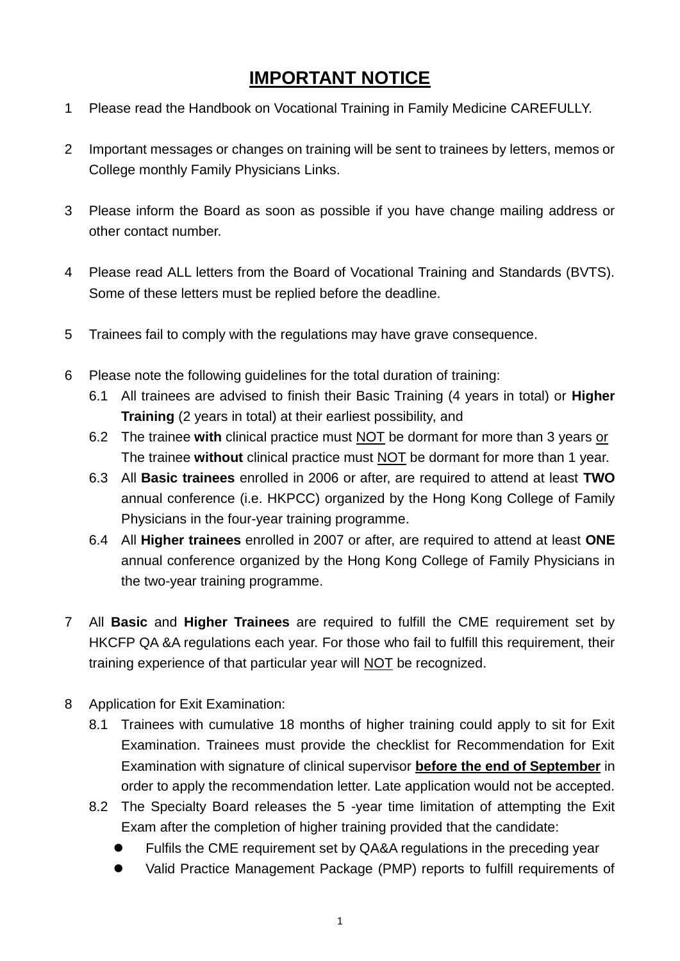## **IMPORTANT NOTICE**

- 1 Please read the Handbook on Vocational Training in Family Medicine CAREFULLY.
- 2 Important messages or changes on training will be sent to trainees by letters, memos or College monthly Family Physicians Links.
- 3 Please inform the Board as soon as possible if you have change mailing address or other contact number.
- 4 Please read ALL letters from the Board of Vocational Training and Standards (BVTS). Some of these letters must be replied before the deadline.
- 5 Trainees fail to comply with the regulations may have grave consequence.
- 6 Please note the following guidelines for the total duration of training:
	- 6.1 All trainees are advised to finish their Basic Training (4 years in total) or **Higher Training** (2 years in total) at their earliest possibility, and
	- 6.2 The trainee **with** clinical practice must NOT be dormant for more than 3 years or The trainee **without** clinical practice must NOT be dormant for more than 1 year.
	- 6.3 All **Basic trainees** enrolled in 2006 or after, are required to attend at least **TWO** annual conference (i.e. HKPCC) organized by the Hong Kong College of Family Physicians in the four-year training programme.
	- 6.4 All **Higher trainees** enrolled in 2007 or after, are required to attend at least **ONE** annual conference organized by the Hong Kong College of Family Physicians in the two-year training programme.
- 7 All **Basic** and **Higher Trainees** are required to fulfill the CME requirement set by HKCFP QA &A regulations each year. For those who fail to fulfill this requirement, their training experience of that particular year will NOT be recognized.
- 8 Application for Exit Examination:
	- 8.1 Trainees with cumulative 18 months of higher training could apply to sit for Exit Examination. Trainees must provide the checklist for Recommendation for Exit Examination with signature of clinical supervisor **before the end of September** in order to apply the recommendation letter. Late application would not be accepted.
	- 8.2 The Specialty Board releases the 5 -year time limitation of attempting the Exit Exam after the completion of higher training provided that the candidate:
		- Fulfils the CME requirement set by QA&A regulations in the preceding year
		- Valid Practice Management Package (PMP) reports to fulfill requirements of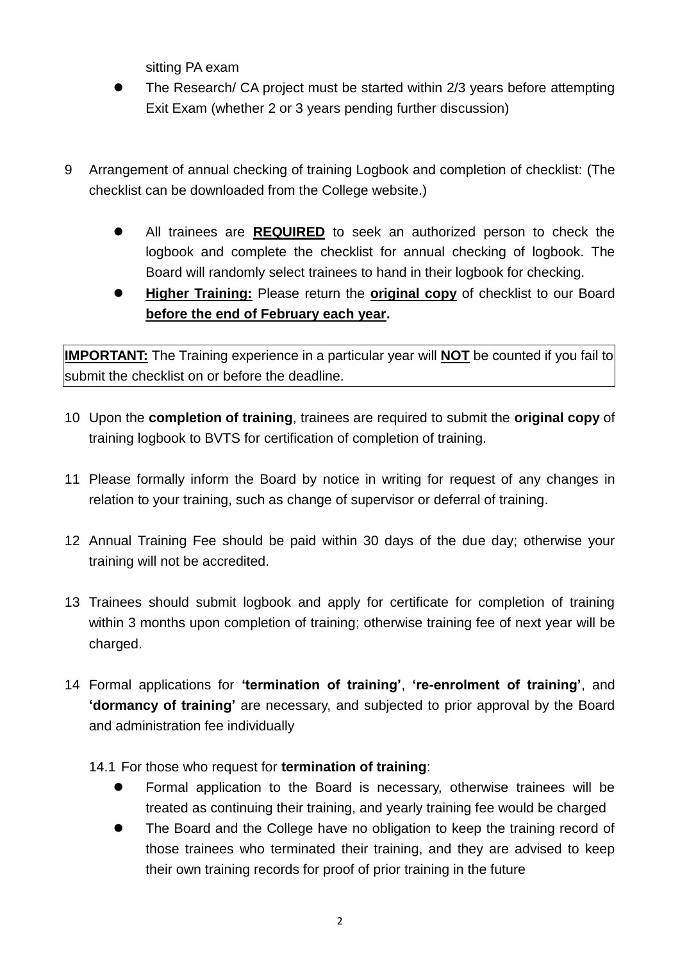sitting PA exam

- The Research/ CA project must be started within 2/3 years before attempting Exit Exam (whether 2 or 3 years pending further discussion)
- 9 Arrangement of annual checking of training Logbook and completion of checklist: (The checklist can be downloaded from the College website.)
	- All trainees are **REQUIRED** to seek an authorized person to check the logbook and complete the checklist for annual checking of logbook. The Board will randomly select trainees to hand in their logbook for checking.
	- **Higher Training:** Please return the **original copy** of checklist to our Board **before the end of February each year.**

**IMPORTANT:** The Training experience in a particular year will **NOT** be counted if you fail to submit the checklist on or before the deadline.

- 10 Upon the **completion of training**, trainees are required to submit the **original copy** of training logbook to BVTS for certification of completion of training.
- 11 Please formally inform the Board by notice in writing for request of any changes in relation to your training, such as change of supervisor or deferral of training.
- 12 Annual Training Fee should be paid within 30 days of the due day; otherwise your training will not be accredited.
- 13 Trainees should submit logbook and apply for certificate for completion of training within 3 months upon completion of training; otherwise training fee of next year will be charged.
- 14 Formal applications for **'termination of training'**, **'re-enrolment of training'**, and **'dormancy of training'** are necessary, and subjected to prior approval by the Board and administration fee individually
	- 14.1 For those who request for **termination of training**:
		- Formal application to the Board is necessary, otherwise trainees will be treated as continuing their training, and yearly training fee would be charged
		- The Board and the College have no obligation to keep the training record of those trainees who terminated their training, and they are advised to keep their own training records for proof of prior training in the future